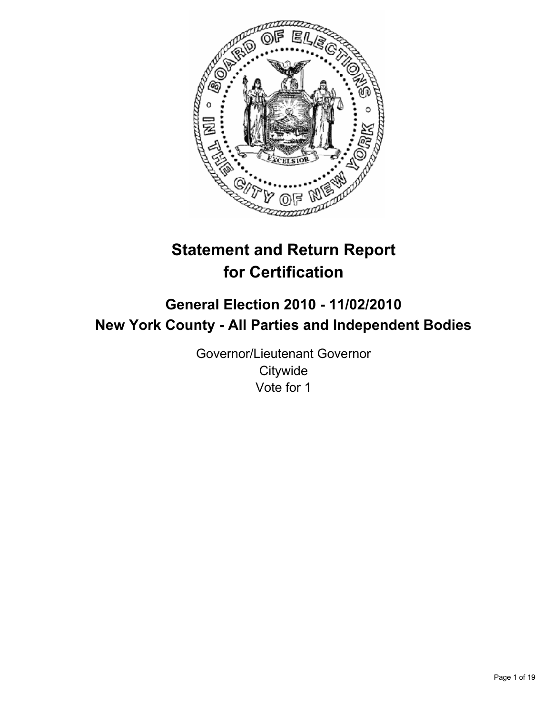

# **Statement and Return Report for Certification**

# **General Election 2010 - 11/02/2010 New York County - All Parties and Independent Bodies**

Governor/Lieutenant Governor **Citywide** Vote for 1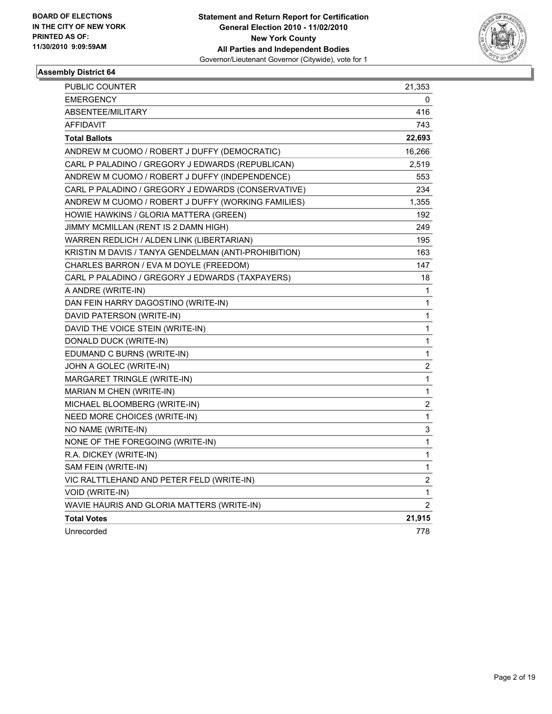

| PUBLIC COUNTER                                       | 21,353                  |
|------------------------------------------------------|-------------------------|
| <b>EMERGENCY</b>                                     | 0                       |
| ABSENTEE/MILITARY                                    | 416                     |
| AFFIDAVIT                                            | 743                     |
| <b>Total Ballots</b>                                 | 22,693                  |
| ANDREW M CUOMO / ROBERT J DUFFY (DEMOCRATIC)         | 16,266                  |
| CARL P PALADINO / GREGORY J EDWARDS (REPUBLICAN)     | 2,519                   |
| ANDREW M CUOMO / ROBERT J DUFFY (INDEPENDENCE)       | 553                     |
| CARL P PALADINO / GREGORY J EDWARDS (CONSERVATIVE)   | 234                     |
| ANDREW M CUOMO / ROBERT J DUFFY (WORKING FAMILIES)   | 1,355                   |
| HOWIE HAWKINS / GLORIA MATTERA (GREEN)               | 192                     |
| JIMMY MCMILLAN (RENT IS 2 DAMN HIGH)                 | 249                     |
| WARREN REDLICH / ALDEN LINK (LIBERTARIAN)            | 195                     |
| KRISTIN M DAVIS / TANYA GENDELMAN (ANTI-PROHIBITION) | 163                     |
| CHARLES BARRON / EVA M DOYLE (FREEDOM)               | 147                     |
| CARL P PALADINO / GREGORY J EDWARDS (TAXPAYERS)      | 18                      |
| A ANDRE (WRITE-IN)                                   | 1                       |
| DAN FEIN HARRY DAGOSTINO (WRITE-IN)                  | 1                       |
| DAVID PATERSON (WRITE-IN)                            | 1                       |
| DAVID THE VOICE STEIN (WRITE-IN)                     | 1                       |
| DONALD DUCK (WRITE-IN)                               | 1                       |
| EDUMAND C BURNS (WRITE-IN)                           | 1                       |
| JOHN A GOLEC (WRITE-IN)                              | 2                       |
| MARGARET TRINGLE (WRITE-IN)                          | $\mathbf 1$             |
| MARIAN M CHEN (WRITE-IN)                             | 1                       |
| MICHAEL BLOOMBERG (WRITE-IN)                         | $\boldsymbol{2}$        |
| NEED MORE CHOICES (WRITE-IN)                         | 1                       |
| NO NAME (WRITE-IN)                                   | 3                       |
| NONE OF THE FOREGOING (WRITE-IN)                     | 1                       |
| R.A. DICKEY (WRITE-IN)                               | 1                       |
| SAM FEIN (WRITE-IN)                                  | 1                       |
| VIC RALTTLEHAND AND PETER FELD (WRITE-IN)            | $\overline{\mathbf{c}}$ |
| VOID (WRITE-IN)                                      | 1                       |
| WAVIE HAURIS AND GLORIA MATTERS (WRITE-IN)           | $\overline{2}$          |
| <b>Total Votes</b>                                   | 21,915                  |
| Unrecorded                                           | 778                     |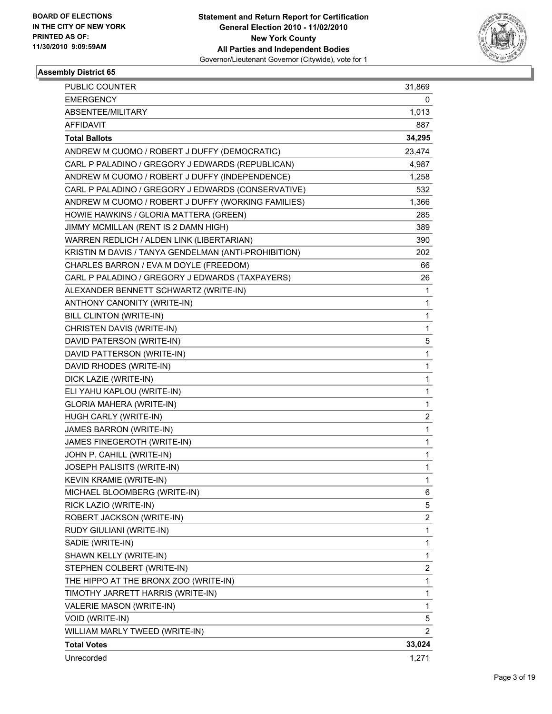

| <b>PUBLIC COUNTER</b>                                | 31,869                  |
|------------------------------------------------------|-------------------------|
| <b>EMERGENCY</b>                                     | 0                       |
| ABSENTEE/MILITARY                                    | 1,013                   |
| <b>AFFIDAVIT</b>                                     | 887                     |
| <b>Total Ballots</b>                                 | 34,295                  |
| ANDREW M CUOMO / ROBERT J DUFFY (DEMOCRATIC)         | 23,474                  |
| CARL P PALADINO / GREGORY J EDWARDS (REPUBLICAN)     | 4,987                   |
| ANDREW M CUOMO / ROBERT J DUFFY (INDEPENDENCE)       | 1,258                   |
| CARL P PALADINO / GREGORY J EDWARDS (CONSERVATIVE)   | 532                     |
| ANDREW M CUOMO / ROBERT J DUFFY (WORKING FAMILIES)   | 1,366                   |
| HOWIE HAWKINS / GLORIA MATTERA (GREEN)               | 285                     |
| JIMMY MCMILLAN (RENT IS 2 DAMN HIGH)                 | 389                     |
| WARREN REDLICH / ALDEN LINK (LIBERTARIAN)            | 390                     |
| KRISTIN M DAVIS / TANYA GENDELMAN (ANTI-PROHIBITION) | 202                     |
| CHARLES BARRON / EVA M DOYLE (FREEDOM)               | 66                      |
| CARL P PALADINO / GREGORY J EDWARDS (TAXPAYERS)      | 26                      |
| ALEXANDER BENNETT SCHWARTZ (WRITE-IN)                | 1                       |
| ANTHONY CANONITY (WRITE-IN)                          | 1                       |
| <b>BILL CLINTON (WRITE-IN)</b>                       | $\mathbf{1}$            |
| CHRISTEN DAVIS (WRITE-IN)                            | 1                       |
| DAVID PATERSON (WRITE-IN)                            | 5                       |
| DAVID PATTERSON (WRITE-IN)                           | $\mathbf{1}$            |
| DAVID RHODES (WRITE-IN)                              | 1                       |
| DICK LAZIE (WRITE-IN)                                | 1                       |
| ELI YAHU KAPLOU (WRITE-IN)                           | 1                       |
| GLORIA MAHERA (WRITE-IN)                             | 1                       |
| HUGH CARLY (WRITE-IN)                                | $\overline{\mathbf{c}}$ |
| <b>JAMES BARRON (WRITE-IN)</b>                       | $\mathbf{1}$            |
| JAMES FINEGEROTH (WRITE-IN)                          | 1                       |
| JOHN P. CAHILL (WRITE-IN)                            | 1                       |
| JOSEPH PALISITS (WRITE-IN)                           | $\mathbf{1}$            |
| <b>KEVIN KRAMIE (WRITE-IN)</b>                       | 1                       |
| MICHAEL BLOOMBERG (WRITE-IN)                         | 6                       |
| RICK LAZIO (WRITE-IN)                                | 5                       |
| ROBERT JACKSON (WRITE-IN)                            | 2                       |
| RUDY GIULIANI (WRITE-IN)                             | 1                       |
| SADIE (WRITE-IN)                                     | $\mathbf{1}$            |
| SHAWN KELLY (WRITE-IN)                               | 1                       |
| STEPHEN COLBERT (WRITE-IN)                           | 2                       |
| THE HIPPO AT THE BRONX ZOO (WRITE-IN)                | $\mathbf{1}$            |
| TIMOTHY JARRETT HARRIS (WRITE-IN)                    | 1                       |
| VALERIE MASON (WRITE-IN)                             | 1                       |
| VOID (WRITE-IN)                                      | 5                       |
| WILLIAM MARLY TWEED (WRITE-IN)                       | 2                       |
| <b>Total Votes</b>                                   | 33,024                  |
| Unrecorded                                           | 1,271                   |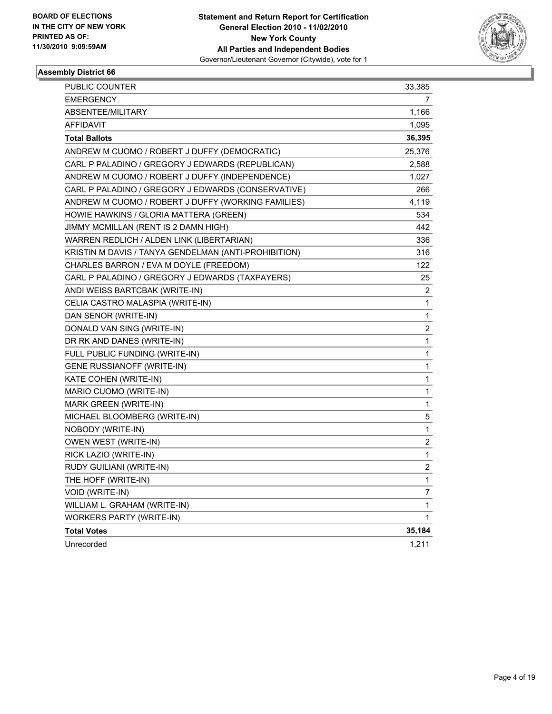

| PUBLIC COUNTER                                       | 33,385                   |
|------------------------------------------------------|--------------------------|
| <b>EMERGENCY</b>                                     | 7                        |
| ABSENTEE/MILITARY                                    | 1,166                    |
| <b>AFFIDAVIT</b>                                     | 1,095                    |
| <b>Total Ballots</b>                                 | 36,395                   |
| ANDREW M CUOMO / ROBERT J DUFFY (DEMOCRATIC)         | 25,376                   |
| CARL P PALADINO / GREGORY J EDWARDS (REPUBLICAN)     | 2,588                    |
| ANDREW M CUOMO / ROBERT J DUFFY (INDEPENDENCE)       | 1,027                    |
| CARL P PALADINO / GREGORY J EDWARDS (CONSERVATIVE)   | 266                      |
| ANDREW M CUOMO / ROBERT J DUFFY (WORKING FAMILIES)   | 4,119                    |
| HOWIE HAWKINS / GLORIA MATTERA (GREEN)               | 534                      |
| JIMMY MCMILLAN (RENT IS 2 DAMN HIGH)                 | 442                      |
| WARREN REDLICH / ALDEN LINK (LIBERTARIAN)            | 336                      |
| KRISTIN M DAVIS / TANYA GENDELMAN (ANTI-PROHIBITION) | 316                      |
| CHARLES BARRON / EVA M DOYLE (FREEDOM)               | 122                      |
| CARL P PALADINO / GREGORY J EDWARDS (TAXPAYERS)      | 25                       |
| ANDI WEISS BARTCBAK (WRITE-IN)                       | $\overline{2}$           |
| CELIA CASTRO MALASPIA (WRITE-IN)                     | 1                        |
| DAN SENOR (WRITE-IN)                                 | 1                        |
| DONALD VAN SING (WRITE-IN)                           | 2                        |
| DR RK AND DANES (WRITE-IN)                           | 1                        |
| FULL PUBLIC FUNDING (WRITE-IN)                       | 1                        |
| <b>GENE RUSSIANOFF (WRITE-IN)</b>                    | 1                        |
| KATE COHEN (WRITE-IN)                                | 1                        |
| MARIO CUOMO (WRITE-IN)                               | 1                        |
| MARK GREEN (WRITE-IN)                                | 1                        |
| MICHAEL BLOOMBERG (WRITE-IN)                         | 5                        |
| NOBODY (WRITE-IN)                                    | 1                        |
| OWEN WEST (WRITE-IN)                                 | 2                        |
| RICK LAZIO (WRITE-IN)                                | 1                        |
| RUDY GUILIANI (WRITE-IN)                             | $\overline{\mathbf{c}}$  |
| THE HOFF (WRITE-IN)                                  | 1                        |
| VOID (WRITE-IN)                                      | $\overline{\mathcal{I}}$ |
| WILLIAM L. GRAHAM (WRITE-IN)                         | 1                        |
| <b>WORKERS PARTY (WRITE-IN)</b>                      | 1                        |
| <b>Total Votes</b>                                   | 35,184                   |
| Unrecorded                                           | 1,211                    |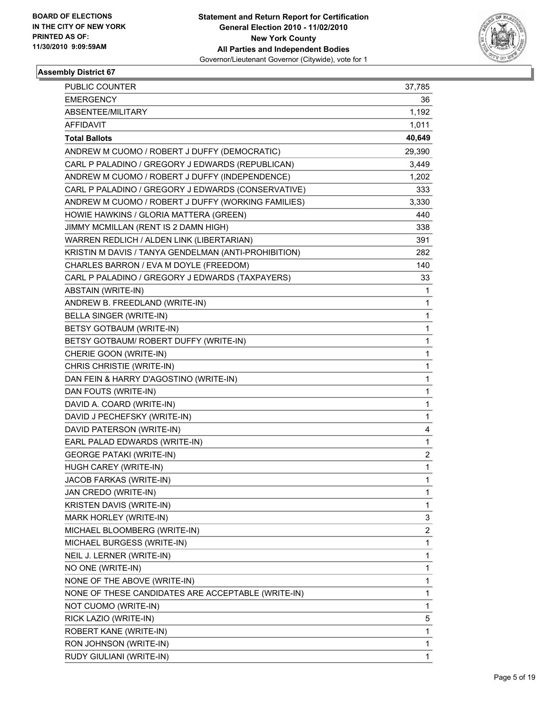

| <b>PUBLIC COUNTER</b>                                | 37,785                  |
|------------------------------------------------------|-------------------------|
| <b>EMERGENCY</b>                                     | 36                      |
| ABSENTEE/MILITARY                                    | 1,192                   |
| <b>AFFIDAVIT</b>                                     | 1,011                   |
| <b>Total Ballots</b>                                 | 40,649                  |
| ANDREW M CUOMO / ROBERT J DUFFY (DEMOCRATIC)         | 29,390                  |
| CARL P PALADINO / GREGORY J EDWARDS (REPUBLICAN)     | 3,449                   |
| ANDREW M CUOMO / ROBERT J DUFFY (INDEPENDENCE)       | 1,202                   |
| CARL P PALADINO / GREGORY J EDWARDS (CONSERVATIVE)   | 333                     |
| ANDREW M CUOMO / ROBERT J DUFFY (WORKING FAMILIES)   | 3,330                   |
| HOWIE HAWKINS / GLORIA MATTERA (GREEN)               | 440                     |
| JIMMY MCMILLAN (RENT IS 2 DAMN HIGH)                 | 338                     |
| WARREN REDLICH / ALDEN LINK (LIBERTARIAN)            | 391                     |
| KRISTIN M DAVIS / TANYA GENDELMAN (ANTI-PROHIBITION) | 282                     |
| CHARLES BARRON / EVA M DOYLE (FREEDOM)               | 140                     |
| CARL P PALADINO / GREGORY J EDWARDS (TAXPAYERS)      | 33                      |
| <b>ABSTAIN (WRITE-IN)</b>                            | 1                       |
| ANDREW B. FREEDLAND (WRITE-IN)                       | 1                       |
| <b>BELLA SINGER (WRITE-IN)</b>                       | 1                       |
| BETSY GOTBAUM (WRITE-IN)                             | 1                       |
| BETSY GOTBAUM/ ROBERT DUFFY (WRITE-IN)               | 1                       |
| CHERIE GOON (WRITE-IN)                               | 1                       |
| CHRIS CHRISTIE (WRITE-IN)                            | 1                       |
| DAN FEIN & HARRY D'AGOSTINO (WRITE-IN)               | 1                       |
| DAN FOUTS (WRITE-IN)                                 | 1                       |
| DAVID A. COARD (WRITE-IN)                            | 1                       |
| DAVID J PECHEFSKY (WRITE-IN)                         | 1                       |
| DAVID PATERSON (WRITE-IN)                            | 4                       |
| EARL PALAD EDWARDS (WRITE-IN)                        | 1                       |
| <b>GEORGE PATAKI (WRITE-IN)</b>                      | $\overline{\mathbf{c}}$ |
| HUGH CAREY (WRITE-IN)                                | $\mathbf{1}$            |
| JACOB FARKAS (WRITE-IN)                              | 1                       |
| JAN CREDO (WRITE-IN)                                 | 1                       |
| KRISTEN DAVIS (WRITE-IN)                             | 1                       |
| MARK HORLEY (WRITE-IN)                               | 3                       |
| MICHAEL BLOOMBERG (WRITE-IN)                         | $\overline{\mathbf{c}}$ |
| MICHAEL BURGESS (WRITE-IN)                           | $\mathbf{1}$            |
| NEIL J. LERNER (WRITE-IN)                            | 1                       |
| NO ONE (WRITE-IN)                                    | 1                       |
| NONE OF THE ABOVE (WRITE-IN)                         | 1                       |
| NONE OF THESE CANDIDATES ARE ACCEPTABLE (WRITE-IN)   | 1                       |
| NOT CUOMO (WRITE-IN)                                 | 1                       |
| RICK LAZIO (WRITE-IN)                                | 5                       |
| ROBERT KANE (WRITE-IN)                               | 1                       |
| RON JOHNSON (WRITE-IN)                               | 1                       |
| RUDY GIULIANI (WRITE-IN)                             | 1                       |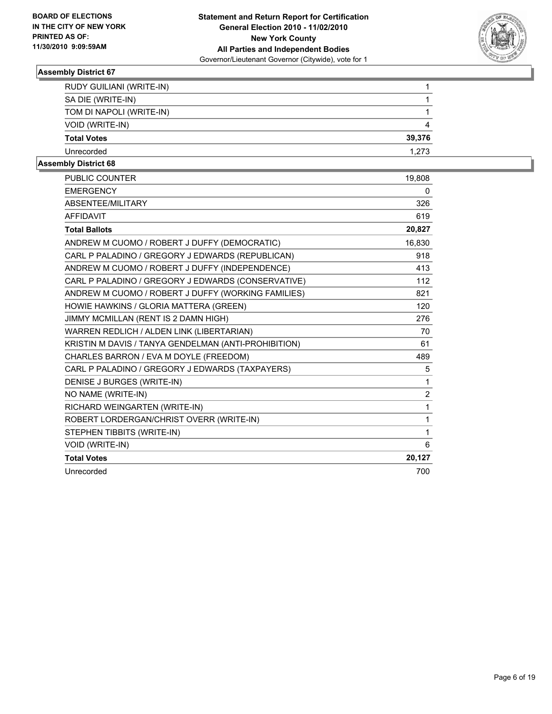

| <b>RUDY GUILIANI (WRITE-IN)</b> |        |
|---------------------------------|--------|
| SA DIE (WRITE-IN)               |        |
| TOM DI NAPOLI (WRITE-IN)        |        |
| VOID (WRITE-IN)                 | 4      |
| <b>Total Votes</b>              | 39,376 |
| Unrecorded                      | 1.273  |
| .                               |        |

| <b>PUBLIC COUNTER</b>                                | 19,808         |
|------------------------------------------------------|----------------|
| <b>EMERGENCY</b>                                     | 0              |
| ABSENTEE/MILITARY                                    | 326            |
| <b>AFFIDAVIT</b>                                     | 619            |
| <b>Total Ballots</b>                                 | 20,827         |
| ANDREW M CUOMO / ROBERT J DUFFY (DEMOCRATIC)         | 16,830         |
| CARL P PALADINO / GREGORY J EDWARDS (REPUBLICAN)     | 918            |
| ANDREW M CUOMO / ROBERT J DUFFY (INDEPENDENCE)       | 413            |
| CARL P PALADINO / GREGORY J EDWARDS (CONSERVATIVE)   | 112            |
| ANDREW M CUOMO / ROBERT J DUFFY (WORKING FAMILIES)   | 821            |
| HOWIE HAWKINS / GLORIA MATTERA (GREEN)               | 120            |
| JIMMY MCMILLAN (RENT IS 2 DAMN HIGH)                 | 276            |
| WARREN REDLICH / ALDEN LINK (LIBERTARIAN)            | 70             |
| KRISTIN M DAVIS / TANYA GENDELMAN (ANTI-PROHIBITION) | 61             |
| CHARLES BARRON / EVA M DOYLE (FREEDOM)               | 489            |
| CARL P PALADINO / GREGORY J EDWARDS (TAXPAYERS)      | 5              |
| DENISE J BURGES (WRITE-IN)                           | 1              |
| NO NAME (WRITE-IN)                                   | $\overline{2}$ |
| RICHARD WEINGARTEN (WRITE-IN)                        | $\mathbf{1}$   |
| ROBERT LORDERGAN/CHRIST OVERR (WRITE-IN)             | $\mathbf{1}$   |
| STEPHEN TIBBITS (WRITE-IN)                           | 1              |
| VOID (WRITE-IN)                                      | 6              |
| <b>Total Votes</b>                                   | 20,127         |
| Unrecorded                                           | 700            |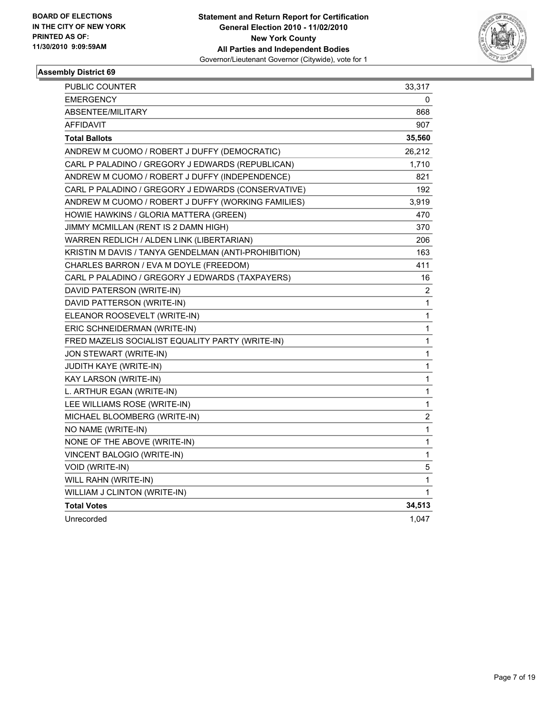

| PUBLIC COUNTER                                       | 33,317         |
|------------------------------------------------------|----------------|
| <b>EMERGENCY</b>                                     | 0              |
| ABSENTEE/MILITARY                                    | 868            |
| <b>AFFIDAVIT</b>                                     | 907            |
| <b>Total Ballots</b>                                 | 35,560         |
| ANDREW M CUOMO / ROBERT J DUFFY (DEMOCRATIC)         | 26,212         |
| CARL P PALADINO / GREGORY J EDWARDS (REPUBLICAN)     | 1,710          |
| ANDREW M CUOMO / ROBERT J DUFFY (INDEPENDENCE)       | 821            |
| CARL P PALADINO / GREGORY J EDWARDS (CONSERVATIVE)   | 192            |
| ANDREW M CUOMO / ROBERT J DUFFY (WORKING FAMILIES)   | 3,919          |
| HOWIE HAWKINS / GLORIA MATTERA (GREEN)               | 470            |
| JIMMY MCMILLAN (RENT IS 2 DAMN HIGH)                 | 370            |
| WARREN REDLICH / ALDEN LINK (LIBERTARIAN)            | 206            |
| KRISTIN M DAVIS / TANYA GENDELMAN (ANTI-PROHIBITION) | 163            |
| CHARLES BARRON / EVA M DOYLE (FREEDOM)               | 411            |
| CARL P PALADINO / GREGORY J EDWARDS (TAXPAYERS)      | 16             |
| DAVID PATERSON (WRITE-IN)                            | 2              |
| DAVID PATTERSON (WRITE-IN)                           | 1              |
| ELEANOR ROOSEVELT (WRITE-IN)                         | 1              |
| ERIC SCHNEIDERMAN (WRITE-IN)                         | 1              |
| FRED MAZELIS SOCIALIST EQUALITY PARTY (WRITE-IN)     | $\mathbf{1}$   |
| JON STEWART (WRITE-IN)                               | 1              |
| <b>JUDITH KAYE (WRITE-IN)</b>                        | 1              |
| KAY LARSON (WRITE-IN)                                | 1              |
| L. ARTHUR EGAN (WRITE-IN)                            | 1              |
| LEE WILLIAMS ROSE (WRITE-IN)                         | 1              |
| MICHAEL BLOOMBERG (WRITE-IN)                         | $\overline{2}$ |
| NO NAME (WRITE-IN)                                   | 1              |
| NONE OF THE ABOVE (WRITE-IN)                         | 1              |
| VINCENT BALOGIO (WRITE-IN)                           | 1              |
| <b>VOID (WRITE-IN)</b>                               | 5              |
| WILL RAHN (WRITE-IN)                                 | 1              |
| WILLIAM J CLINTON (WRITE-IN)                         | 1              |
| <b>Total Votes</b>                                   | 34,513         |
| Unrecorded                                           | 1,047          |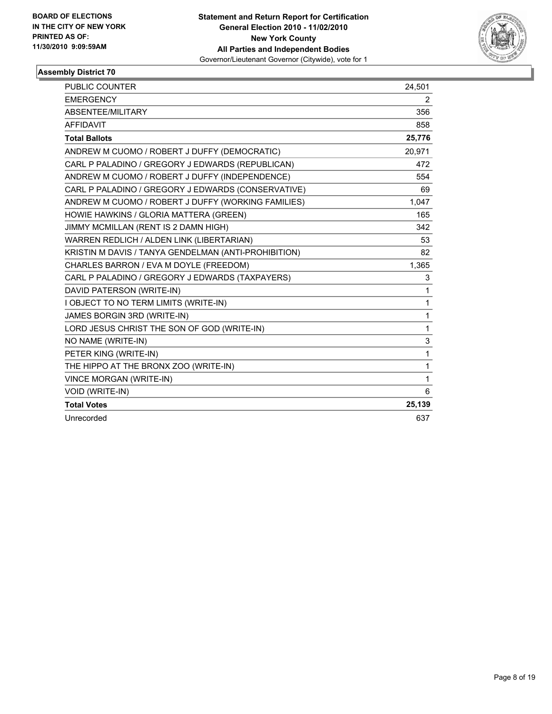

| PUBLIC COUNTER                                       | 24,501 |
|------------------------------------------------------|--------|
| <b>EMERGENCY</b>                                     | 2      |
| ABSENTEE/MILITARY                                    | 356    |
| <b>AFFIDAVIT</b>                                     | 858    |
| <b>Total Ballots</b>                                 | 25,776 |
| ANDREW M CUOMO / ROBERT J DUFFY (DEMOCRATIC)         | 20,971 |
| CARL P PALADINO / GREGORY J EDWARDS (REPUBLICAN)     | 472    |
| ANDREW M CUOMO / ROBERT J DUFFY (INDEPENDENCE)       | 554    |
| CARL P PALADINO / GREGORY J EDWARDS (CONSERVATIVE)   | 69     |
| ANDREW M CUOMO / ROBERT J DUFFY (WORKING FAMILIES)   | 1,047  |
| HOWIE HAWKINS / GLORIA MATTERA (GREEN)               | 165    |
| JIMMY MCMILLAN (RENT IS 2 DAMN HIGH)                 | 342    |
| WARREN REDLICH / ALDEN LINK (LIBERTARIAN)            | 53     |
| KRISTIN M DAVIS / TANYA GENDELMAN (ANTI-PROHIBITION) | 82     |
| CHARLES BARRON / EVA M DOYLE (FREEDOM)               | 1,365  |
| CARL P PALADINO / GREGORY J EDWARDS (TAXPAYERS)      | 3      |
| DAVID PATERSON (WRITE-IN)                            | 1      |
| I OBJECT TO NO TERM LIMITS (WRITE-IN)                | 1      |
| JAMES BORGIN 3RD (WRITE-IN)                          | 1      |
| LORD JESUS CHRIST THE SON OF GOD (WRITE-IN)          | 1      |
| NO NAME (WRITE-IN)                                   | 3      |
| PETER KING (WRITE-IN)                                | 1      |
| THE HIPPO AT THE BRONX ZOO (WRITE-IN)                | 1      |
| <b>VINCE MORGAN (WRITE-IN)</b>                       | 1      |
| <b>VOID (WRITE-IN)</b>                               | 6      |
| <b>Total Votes</b>                                   | 25,139 |
| Unrecorded                                           | 637    |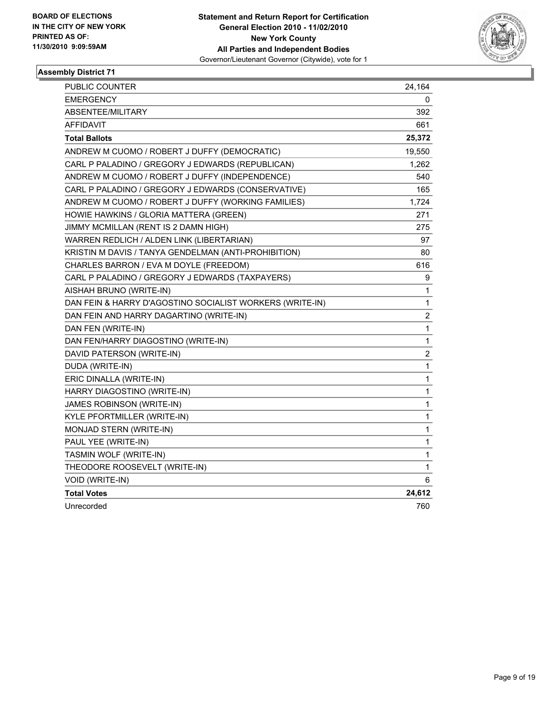

| <b>PUBLIC COUNTER</b>                                    | 24,164                  |
|----------------------------------------------------------|-------------------------|
| <b>EMERGENCY</b>                                         | 0                       |
| ABSENTEE/MILITARY                                        | 392                     |
| <b>AFFIDAVIT</b>                                         | 661                     |
| <b>Total Ballots</b>                                     | 25,372                  |
| ANDREW M CUOMO / ROBERT J DUFFY (DEMOCRATIC)             | 19,550                  |
| CARL P PALADINO / GREGORY J EDWARDS (REPUBLICAN)         | 1,262                   |
| ANDREW M CUOMO / ROBERT J DUFFY (INDEPENDENCE)           | 540                     |
| CARL P PALADINO / GREGORY J EDWARDS (CONSERVATIVE)       | 165                     |
| ANDREW M CUOMO / ROBERT J DUFFY (WORKING FAMILIES)       | 1,724                   |
| HOWIE HAWKINS / GLORIA MATTERA (GREEN)                   | 271                     |
| JIMMY MCMILLAN (RENT IS 2 DAMN HIGH)                     | 275                     |
| WARREN REDLICH / ALDEN LINK (LIBERTARIAN)                | 97                      |
| KRISTIN M DAVIS / TANYA GENDELMAN (ANTI-PROHIBITION)     | 80                      |
| CHARLES BARRON / EVA M DOYLE (FREEDOM)                   | 616                     |
| CARL P PALADINO / GREGORY J EDWARDS (TAXPAYERS)          | 9                       |
| AISHAH BRUNO (WRITE-IN)                                  | 1                       |
| DAN FEIN & HARRY D'AGOSTINO SOCIALIST WORKERS (WRITE-IN) | 1                       |
| DAN FEIN AND HARRY DAGARTINO (WRITE-IN)                  | $\overline{\mathbf{c}}$ |
| DAN FEN (WRITE-IN)                                       | $\mathbf{1}$            |
| DAN FEN/HARRY DIAGOSTINO (WRITE-IN)                      | $\mathbf 1$             |
| DAVID PATERSON (WRITE-IN)                                | $\overline{\mathbf{c}}$ |
| DUDA (WRITE-IN)                                          | 1                       |
| ERIC DINALLA (WRITE-IN)                                  | 1                       |
| HARRY DIAGOSTINO (WRITE-IN)                              | $\mathbf{1}$            |
| JAMES ROBINSON (WRITE-IN)                                | $\mathbf{1}$            |
| KYLE PFORTMILLER (WRITE-IN)                              | $\mathbf{1}$            |
| MONJAD STERN (WRITE-IN)                                  | 1                       |
| PAUL YEE (WRITE-IN)                                      | 1                       |
| TASMIN WOLF (WRITE-IN)                                   | $\mathbf{1}$            |
| THEODORE ROOSEVELT (WRITE-IN)                            | 1                       |
| VOID (WRITE-IN)                                          | 6                       |
| <b>Total Votes</b>                                       | 24,612                  |
| Unrecorded                                               | 760                     |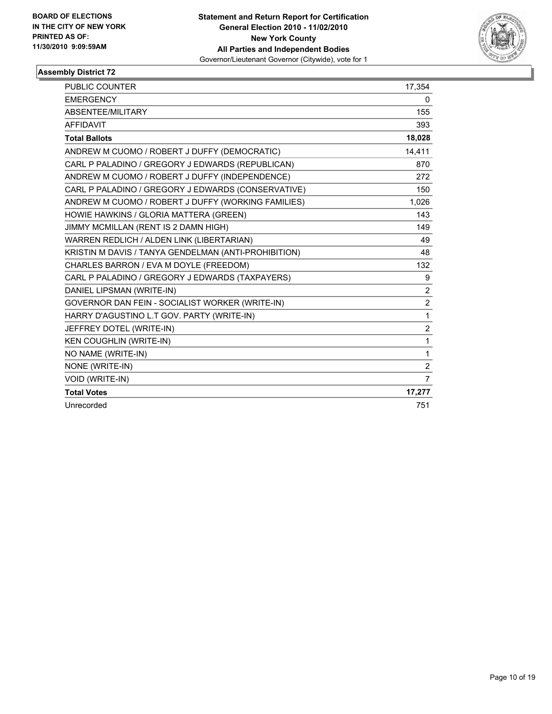

| <b>PUBLIC COUNTER</b>                                | 17,354         |
|------------------------------------------------------|----------------|
| <b>EMERGENCY</b>                                     | 0              |
| ABSENTEE/MILITARY                                    | 155            |
| <b>AFFIDAVIT</b>                                     | 393            |
| <b>Total Ballots</b>                                 | 18,028         |
| ANDREW M CUOMO / ROBERT J DUFFY (DEMOCRATIC)         | 14,411         |
| CARL P PALADINO / GREGORY J EDWARDS (REPUBLICAN)     | 870            |
| ANDREW M CUOMO / ROBERT J DUFFY (INDEPENDENCE)       | 272            |
| CARL P PALADINO / GREGORY J EDWARDS (CONSERVATIVE)   | 150            |
| ANDREW M CUOMO / ROBERT J DUFFY (WORKING FAMILIES)   | 1,026          |
| HOWIE HAWKINS / GLORIA MATTERA (GREEN)               | 143            |
| JIMMY MCMILLAN (RENT IS 2 DAMN HIGH)                 | 149            |
| WARREN REDLICH / ALDEN LINK (LIBERTARIAN)            | 49             |
| KRISTIN M DAVIS / TANYA GENDELMAN (ANTI-PROHIBITION) | 48             |
| CHARLES BARRON / EVA M DOYLE (FREEDOM)               | 132            |
| CARL P PALADINO / GREGORY J EDWARDS (TAXPAYERS)      | 9              |
| DANIEL LIPSMAN (WRITE-IN)                            | $\overline{2}$ |
| GOVERNOR DAN FEIN - SOCIALIST WORKER (WRITE-IN)      | $\overline{2}$ |
| HARRY D'AGUSTINO L.T GOV. PARTY (WRITE-IN)           | $\mathbf{1}$   |
| JEFFREY DOTEL (WRITE-IN)                             | $\overline{2}$ |
| KEN COUGHLIN (WRITE-IN)                              | 1              |
| NO NAME (WRITE-IN)                                   | 1              |
| NONE (WRITE-IN)                                      | $\overline{c}$ |
| <b>VOID (WRITE-IN)</b>                               | $\overline{7}$ |
| <b>Total Votes</b>                                   | 17,277         |
| Unrecorded                                           | 751            |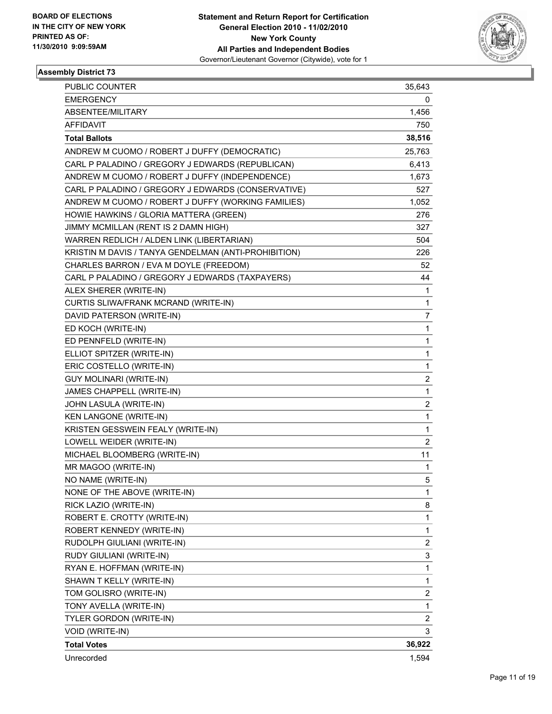

| PUBLIC COUNTER                                       | 35,643         |
|------------------------------------------------------|----------------|
| <b>EMERGENCY</b>                                     | 0              |
| ABSENTEE/MILITARY                                    | 1,456          |
| AFFIDAVIT                                            | 750            |
| <b>Total Ballots</b>                                 | 38,516         |
| ANDREW M CUOMO / ROBERT J DUFFY (DEMOCRATIC)         | 25,763         |
| CARL P PALADINO / GREGORY J EDWARDS (REPUBLICAN)     | 6,413          |
| ANDREW M CUOMO / ROBERT J DUFFY (INDEPENDENCE)       | 1,673          |
| CARL P PALADINO / GREGORY J EDWARDS (CONSERVATIVE)   | 527            |
| ANDREW M CUOMO / ROBERT J DUFFY (WORKING FAMILIES)   | 1,052          |
| HOWIE HAWKINS / GLORIA MATTERA (GREEN)               | 276            |
| JIMMY MCMILLAN (RENT IS 2 DAMN HIGH)                 | 327            |
| WARREN REDLICH / ALDEN LINK (LIBERTARIAN)            | 504            |
| KRISTIN M DAVIS / TANYA GENDELMAN (ANTI-PROHIBITION) | 226            |
| CHARLES BARRON / EVA M DOYLE (FREEDOM)               | 52             |
| CARL P PALADINO / GREGORY J EDWARDS (TAXPAYERS)      | 44             |
| ALEX SHERER (WRITE-IN)                               | 1              |
| CURTIS SLIWA/FRANK MCRAND (WRITE-IN)                 | 1              |
| DAVID PATERSON (WRITE-IN)                            | 7              |
| ED KOCH (WRITE-IN)                                   | 1              |
| ED PENNFELD (WRITE-IN)                               | 1              |
| ELLIOT SPITZER (WRITE-IN)                            | 1              |
| ERIC COSTELLO (WRITE-IN)                             | 1              |
| <b>GUY MOLINARI (WRITE-IN)</b>                       | 2              |
| JAMES CHAPPELL (WRITE-IN)                            | 1              |
| JOHN LASULA (WRITE-IN)                               | 2              |
| KEN LANGONE (WRITE-IN)                               | $\mathbf{1}$   |
| KRISTEN GESSWEIN FEALY (WRITE-IN)                    | 1              |
| LOWELL WEIDER (WRITE-IN)                             | 2              |
| MICHAEL BLOOMBERG (WRITE-IN)                         | 11             |
| MR MAGOO (WRITE-IN)                                  | 1              |
| NO NAME (WRITE-IN)                                   | 5              |
| NONE OF THE ABOVE (WRITE-IN)                         | 1              |
| RICK LAZIO (WRITE-IN)                                | 8              |
| ROBERT E. CROTTY (WRITE-IN)                          | 1              |
| ROBERT KENNEDY (WRITE-IN)                            | 1              |
| RUDOLPH GIULIANI (WRITE-IN)                          | 2              |
| RUDY GIULIANI (WRITE-IN)                             | 3              |
| RYAN E. HOFFMAN (WRITE-IN)                           | 1              |
| SHAWN T KELLY (WRITE-IN)                             | 1              |
| TOM GOLISRO (WRITE-IN)                               | 2              |
| TONY AVELLA (WRITE-IN)                               | 1              |
| TYLER GORDON (WRITE-IN)                              | $\overline{2}$ |
| VOID (WRITE-IN)                                      | 3              |
| <b>Total Votes</b>                                   | 36,922         |
| Unrecorded                                           | 1,594          |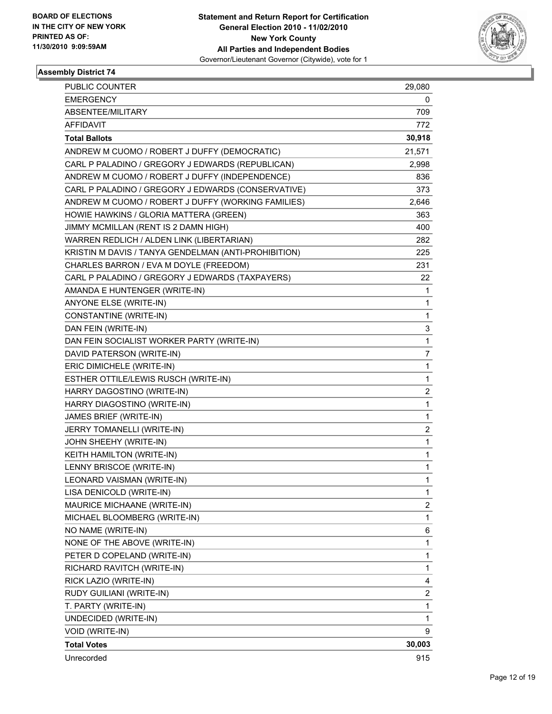

| PUBLIC COUNTER                                       | 29,080                  |
|------------------------------------------------------|-------------------------|
| EMERGENCY                                            | 0                       |
| ABSENTEE/MILITARY                                    | 709                     |
| AFFIDAVIT                                            | 772                     |
| <b>Total Ballots</b>                                 | 30,918                  |
| ANDREW M CUOMO / ROBERT J DUFFY (DEMOCRATIC)         | 21,571                  |
| CARL P PALADINO / GREGORY J EDWARDS (REPUBLICAN)     | 2,998                   |
| ANDREW M CUOMO / ROBERT J DUFFY (INDEPENDENCE)       | 836                     |
| CARL P PALADINO / GREGORY J EDWARDS (CONSERVATIVE)   | 373                     |
| ANDREW M CUOMO / ROBERT J DUFFY (WORKING FAMILIES)   | 2,646                   |
| HOWIE HAWKINS / GLORIA MATTERA (GREEN)               | 363                     |
| JIMMY MCMILLAN (RENT IS 2 DAMN HIGH)                 | 400                     |
| WARREN REDLICH / ALDEN LINK (LIBERTARIAN)            | 282                     |
| KRISTIN M DAVIS / TANYA GENDELMAN (ANTI-PROHIBITION) | 225                     |
| CHARLES BARRON / EVA M DOYLE (FREEDOM)               | 231                     |
| CARL P PALADINO / GREGORY J EDWARDS (TAXPAYERS)      | 22                      |
| AMANDA E HUNTENGER (WRITE-IN)                        | 1                       |
| ANYONE ELSE (WRITE-IN)                               | 1                       |
| CONSTANTINE (WRITE-IN)                               | 1                       |
| DAN FEIN (WRITE-IN)                                  | 3                       |
| DAN FEIN SOCIALIST WORKER PARTY (WRITE-IN)           | 1                       |
| DAVID PATERSON (WRITE-IN)                            | 7                       |
| ERIC DIMICHELE (WRITE-IN)                            | 1                       |
| ESTHER OTTILE/LEWIS RUSCH (WRITE-IN)                 | 1                       |
| HARRY DAGOSTINO (WRITE-IN)                           | $\overline{\mathbf{c}}$ |
| HARRY DIAGOSTINO (WRITE-IN)                          | 1                       |
| JAMES BRIEF (WRITE-IN)                               | 1                       |
| JERRY TOMANELLI (WRITE-IN)                           | $\overline{\mathbf{c}}$ |
| JOHN SHEEHY (WRITE-IN)                               | 1                       |
| KEITH HAMILTON (WRITE-IN)                            | 1                       |
| LENNY BRISCOE (WRITE-IN)                             | 1                       |
| LEONARD VAISMAN (WRITE-IN)                           | 1                       |
| LISA DENICOLD (WRITE-IN)                             | 1                       |
| MAURICE MICHAANE (WRITE-IN)                          | 2                       |
| MICHAEL BLOOMBERG (WRITE-IN)                         | 1                       |
| NO NAME (WRITE-IN)                                   | 6                       |
| NONE OF THE ABOVE (WRITE-IN)                         | 1                       |
| PETER D COPELAND (WRITE-IN)                          | 1                       |
| RICHARD RAVITCH (WRITE-IN)                           | 1                       |
| RICK LAZIO (WRITE-IN)                                | 4                       |
| RUDY GUILIANI (WRITE-IN)                             | 2                       |
| T. PARTY (WRITE-IN)                                  | 1                       |
| UNDECIDED (WRITE-IN)                                 | 1                       |
| VOID (WRITE-IN)                                      | 9                       |
| <b>Total Votes</b>                                   | 30,003                  |
| Unrecorded                                           | 915                     |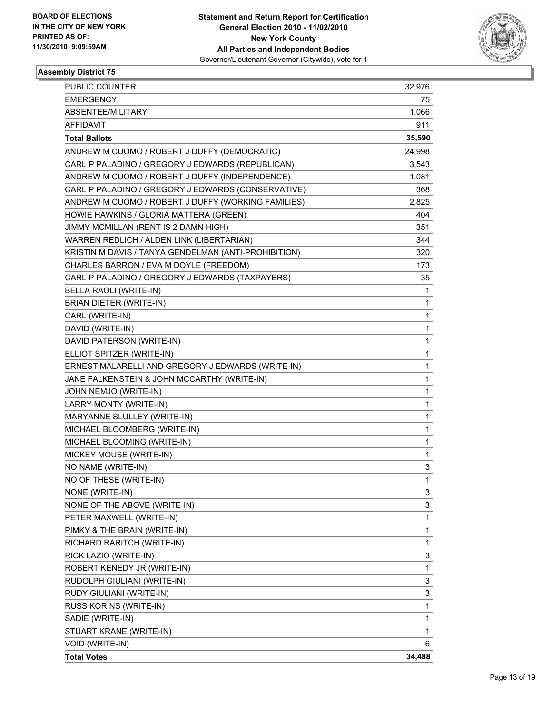

| PUBLIC COUNTER                                       | 32,976 |
|------------------------------------------------------|--------|
| <b>EMERGENCY</b>                                     | 75     |
| ABSENTEE/MILITARY                                    | 1,066  |
| <b>AFFIDAVIT</b>                                     | 911    |
| <b>Total Ballots</b>                                 | 35,590 |
| ANDREW M CUOMO / ROBERT J DUFFY (DEMOCRATIC)         | 24,998 |
| CARL P PALADINO / GREGORY J EDWARDS (REPUBLICAN)     | 3,543  |
| ANDREW M CUOMO / ROBERT J DUFFY (INDEPENDENCE)       | 1,081  |
| CARL P PALADINO / GREGORY J EDWARDS (CONSERVATIVE)   | 368    |
| ANDREW M CUOMO / ROBERT J DUFFY (WORKING FAMILIES)   | 2,825  |
| HOWIE HAWKINS / GLORIA MATTERA (GREEN)               | 404    |
| JIMMY MCMILLAN (RENT IS 2 DAMN HIGH)                 | 351    |
| WARREN REDLICH / ALDEN LINK (LIBERTARIAN)            | 344    |
| KRISTIN M DAVIS / TANYA GENDELMAN (ANTI-PROHIBITION) | 320    |
| CHARLES BARRON / EVA M DOYLE (FREEDOM)               | 173    |
| CARL P PALADINO / GREGORY J EDWARDS (TAXPAYERS)      | 35     |
| BELLA RAOLI (WRITE-IN)                               | 1      |
| BRIAN DIETER (WRITE-IN)                              | 1      |
| CARL (WRITE-IN)                                      | 1      |
| DAVID (WRITE-IN)                                     | 1      |
| DAVID PATERSON (WRITE-IN)                            | 1      |
| ELLIOT SPITZER (WRITE-IN)                            | 1      |
| ERNEST MALARELLI AND GREGORY J EDWARDS (WRITE-IN)    | 1      |
| JANE FALKENSTEIN & JOHN MCCARTHY (WRITE-IN)          | 1      |
| JOHN NEMJO (WRITE-IN)                                | 1      |
| LARRY MONTY (WRITE-IN)                               | 1      |
| MARYANNE SLULLEY (WRITE-IN)                          | 1      |
| MICHAEL BLOOMBERG (WRITE-IN)                         | 1      |
| MICHAEL BLOOMING (WRITE-IN)                          | 1      |
| MICKEY MOUSE (WRITE-IN)                              | 1      |
| NO NAME (WRITE-IN)                                   | 3      |
| NO OF THESE (WRITE-IN)                               | 1      |
| NONE (WRITE-IN)                                      | 3      |
| NONE OF THE ABOVE (WRITE-IN)                         | 3      |
| PETER MAXWELL (WRITE-IN)                             | 1      |
| PIMKY & THE BRAIN (WRITE-IN)                         | 1      |
| RICHARD RARITCH (WRITE-IN)                           | 1      |
| RICK LAZIO (WRITE-IN)                                | 3      |
| ROBERT KENEDY JR (WRITE-IN)                          | 1      |
| RUDOLPH GIULIANI (WRITE-IN)                          | 3      |
| RUDY GIULIANI (WRITE-IN)                             | 3      |
| RUSS KORINS (WRITE-IN)                               | 1      |
| SADIE (WRITE-IN)                                     | 1      |
| STUART KRANE (WRITE-IN)                              | 1      |
| VOID (WRITE-IN)                                      | 6      |
| <b>Total Votes</b>                                   | 34,488 |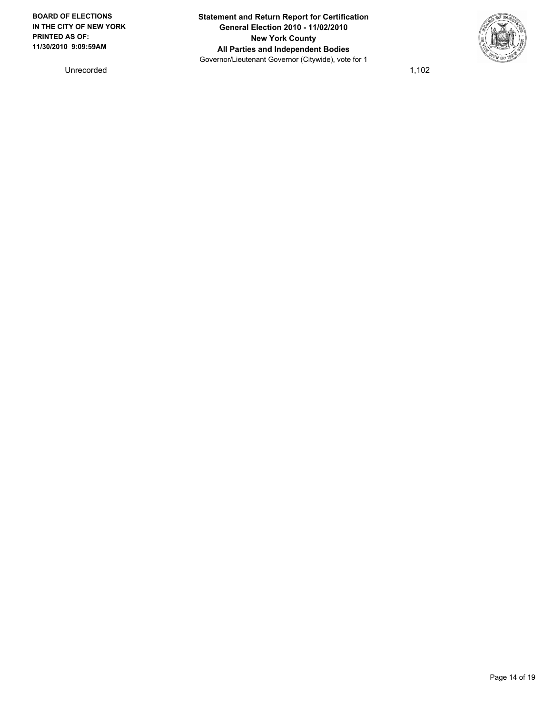**BOARD OF ELECTIONS IN THE CITY OF NEW YORK PRINTED AS OF: 11/30/2010 9:09:59AM**

Unrecorded 1,102

**Statement and Return Report for Certification General Election 2010 - 11/02/2010 New York County All Parties and Independent Bodies** Governor/Lieutenant Governor (Citywide), vote for 1

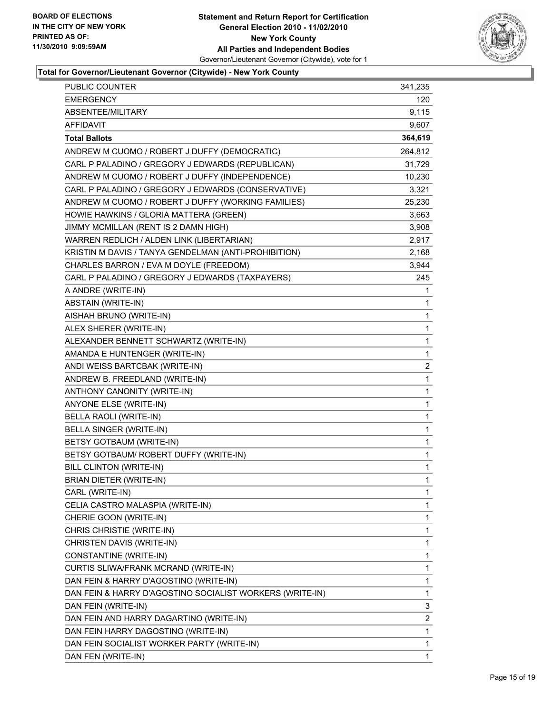

| PUBLIC COUNTER                                           | 341,235      |
|----------------------------------------------------------|--------------|
| <b>EMERGENCY</b>                                         | 120          |
| ABSENTEE/MILITARY                                        | 9,115        |
| AFFIDAVIT                                                | 9,607        |
| <b>Total Ballots</b>                                     | 364,619      |
| ANDREW M CUOMO / ROBERT J DUFFY (DEMOCRATIC)             | 264,812      |
| CARL P PALADINO / GREGORY J EDWARDS (REPUBLICAN)         | 31,729       |
| ANDREW M CUOMO / ROBERT J DUFFY (INDEPENDENCE)           | 10,230       |
| CARL P PALADINO / GREGORY J EDWARDS (CONSERVATIVE)       | 3,321        |
| ANDREW M CUOMO / ROBERT J DUFFY (WORKING FAMILIES)       | 25,230       |
| HOWIE HAWKINS / GLORIA MATTERA (GREEN)                   | 3,663        |
| JIMMY MCMILLAN (RENT IS 2 DAMN HIGH)                     | 3,908        |
| WARREN REDLICH / ALDEN LINK (LIBERTARIAN)                | 2,917        |
| KRISTIN M DAVIS / TANYA GENDELMAN (ANTI-PROHIBITION)     | 2,168        |
| CHARLES BARRON / EVA M DOYLE (FREEDOM)                   | 3,944        |
| CARL P PALADINO / GREGORY J EDWARDS (TAXPAYERS)          | 245          |
| A ANDRE (WRITE-IN)                                       | 1            |
| ABSTAIN (WRITE-IN)                                       | 1            |
| AISHAH BRUNO (WRITE-IN)                                  | 1            |
| ALEX SHERER (WRITE-IN)                                   | 1            |
| ALEXANDER BENNETT SCHWARTZ (WRITE-IN)                    | $\mathbf{1}$ |
| AMANDA E HUNTENGER (WRITE-IN)                            | 1            |
| ANDI WEISS BARTCBAK (WRITE-IN)                           | 2            |
| ANDREW B. FREEDLAND (WRITE-IN)                           | $\mathbf 1$  |
| ANTHONY CANONITY (WRITE-IN)                              | 1            |
| ANYONE ELSE (WRITE-IN)                                   | 1            |
| BELLA RAOLI (WRITE-IN)                                   | 1            |
| BELLA SINGER (WRITE-IN)                                  | 1            |
| BETSY GOTBAUM (WRITE-IN)                                 | 1            |
| BETSY GOTBAUM/ ROBERT DUFFY (WRITE-IN)                   | $\mathbf{1}$ |
| BILL CLINTON (WRITE-IN)                                  | 1            |
| BRIAN DIETER (WRITE-IN)                                  | 1            |
| CARL (WRITE-IN)                                          | 1            |
| CELIA CASTRO MALASPIA (WRITE-IN)                         | 1            |
| CHERIE GOON (WRITE-IN)                                   | 1            |
| CHRIS CHRISTIE (WRITE-IN)                                | 1            |
| CHRISTEN DAVIS (WRITE-IN)                                | 1            |
| CONSTANTINE (WRITE-IN)                                   | 1            |
| CURTIS SLIWA/FRANK MCRAND (WRITE-IN)                     | 1            |
| DAN FEIN & HARRY D'AGOSTINO (WRITE-IN)                   | 1            |
| DAN FEIN & HARRY D'AGOSTINO SOCIALIST WORKERS (WRITE-IN) | 1            |
| DAN FEIN (WRITE-IN)                                      | 3            |
| DAN FEIN AND HARRY DAGARTINO (WRITE-IN)                  | 2            |
| DAN FEIN HARRY DAGOSTINO (WRITE-IN)                      | 1            |
| DAN FEIN SOCIALIST WORKER PARTY (WRITE-IN)               | 1            |
| DAN FEN (WRITE-IN)                                       | 1            |
|                                                          |              |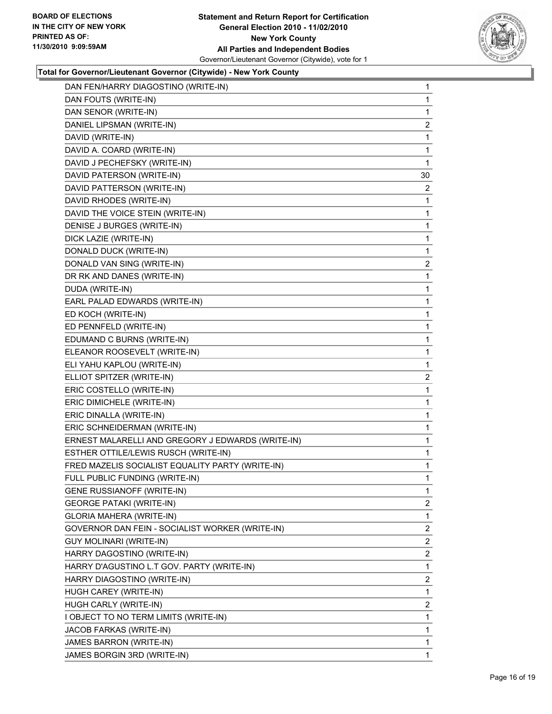#### **Statement and Return Report for Certification General Election 2010 - 11/02/2010 New York County All Parties and Independent Bodies** Governor/Lieutenant Governor (Citywide), vote for 1



| DAN FEN/HARRY DIAGOSTINO (WRITE-IN)               | 1              |
|---------------------------------------------------|----------------|
| DAN FOUTS (WRITE-IN)                              | 1              |
| DAN SENOR (WRITE-IN)                              | 1              |
| DANIEL LIPSMAN (WRITE-IN)                         | $\overline{c}$ |
| DAVID (WRITE-IN)                                  | 1              |
| DAVID A. COARD (WRITE-IN)                         | 1              |
| DAVID J PECHEFSKY (WRITE-IN)                      | 1              |
| DAVID PATERSON (WRITE-IN)                         | 30             |
| DAVID PATTERSON (WRITE-IN)                        | 2              |
| DAVID RHODES (WRITE-IN)                           | 1              |
| DAVID THE VOICE STEIN (WRITE-IN)                  | 1              |
| DENISE J BURGES (WRITE-IN)                        | 1              |
| DICK LAZIE (WRITE-IN)                             | 1              |
| DONALD DUCK (WRITE-IN)                            | 1              |
| DONALD VAN SING (WRITE-IN)                        | $\mathbf{2}$   |
| DR RK AND DANES (WRITE-IN)                        | 1              |
| DUDA (WRITE-IN)                                   | 1              |
| EARL PALAD EDWARDS (WRITE-IN)                     | 1              |
| ED KOCH (WRITE-IN)                                | 1              |
| ED PENNFELD (WRITE-IN)                            | 1              |
| EDUMAND C BURNS (WRITE-IN)                        | 1              |
| ELEANOR ROOSEVELT (WRITE-IN)                      | 1              |
| ELI YAHU KAPLOU (WRITE-IN)                        | 1              |
| ELLIOT SPITZER (WRITE-IN)                         | 2              |
| ERIC COSTELLO (WRITE-IN)                          | 1              |
| ERIC DIMICHELE (WRITE-IN)                         | $\mathbf{1}$   |
| ERIC DINALLA (WRITE-IN)                           | 1              |
| ERIC SCHNEIDERMAN (WRITE-IN)                      | 1              |
| ERNEST MALARELLI AND GREGORY J EDWARDS (WRITE-IN) | 1              |
| ESTHER OTTILE/LEWIS RUSCH (WRITE-IN)              | 1              |
| FRED MAZELIS SOCIALIST EQUALITY PARTY (WRITE-IN)  | 1              |
| FULL PUBLIC FUNDING (WRITE-IN)                    | $\mathbf{1}$   |
| <b>GENE RUSSIANOFF (WRITE-IN)</b>                 | 1              |
| <b>GEORGE PATAKI (WRITE-IN)</b>                   | $\mathbf{2}$   |
| <b>GLORIA MAHERA (WRITE-IN)</b>                   | 1              |
| GOVERNOR DAN FEIN - SOCIALIST WORKER (WRITE-IN)   | 2              |
| <b>GUY MOLINARI (WRITE-IN)</b>                    | 2              |
| HARRY DAGOSTINO (WRITE-IN)                        | $\overline{2}$ |
| HARRY D'AGUSTINO L.T GOV. PARTY (WRITE-IN)        | 1              |
| HARRY DIAGOSTINO (WRITE-IN)                       | $\mathbf{2}$   |
| HUGH CAREY (WRITE-IN)                             | 1              |
| HUGH CARLY (WRITE-IN)                             | $\mathbf{2}$   |
| I OBJECT TO NO TERM LIMITS (WRITE-IN)             | 1              |
| JACOB FARKAS (WRITE-IN)                           | 1              |
| JAMES BARRON (WRITE-IN)                           | 1              |
| JAMES BORGIN 3RD (WRITE-IN)                       | 1              |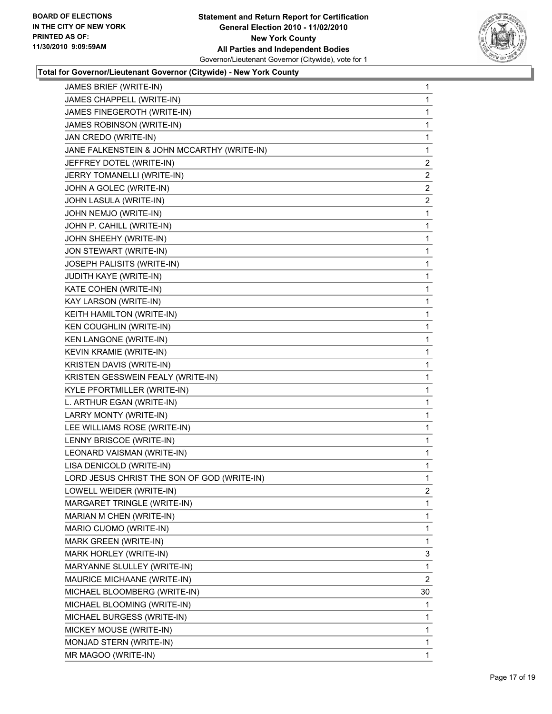

| JAMES BRIEF (WRITE-IN)                      | 1              |
|---------------------------------------------|----------------|
| JAMES CHAPPELL (WRITE-IN)                   | 1              |
| JAMES FINEGEROTH (WRITE-IN)                 | 1              |
| JAMES ROBINSON (WRITE-IN)                   | 1              |
| JAN CREDO (WRITE-IN)                        | 1              |
| JANE FALKENSTEIN & JOHN MCCARTHY (WRITE-IN) | 1              |
| JEFFREY DOTEL (WRITE-IN)                    | 2              |
| JERRY TOMANELLI (WRITE-IN)                  | $\overline{2}$ |
| JOHN A GOLEC (WRITE-IN)                     | $\overline{c}$ |
| JOHN LASULA (WRITE-IN)                      | 2              |
| JOHN NEMJO (WRITE-IN)                       | 1              |
| JOHN P. CAHILL (WRITE-IN)                   | 1              |
| JOHN SHEEHY (WRITE-IN)                      | 1              |
| JON STEWART (WRITE-IN)                      | 1              |
| JOSEPH PALISITS (WRITE-IN)                  | 1              |
| JUDITH KAYE (WRITE-IN)                      | 1              |
| KATE COHEN (WRITE-IN)                       | 1              |
| KAY LARSON (WRITE-IN)                       | 1              |
| KEITH HAMILTON (WRITE-IN)                   | 1              |
| KEN COUGHLIN (WRITE-IN)                     | 1              |
| KEN LANGONE (WRITE-IN)                      | 1              |
| KEVIN KRAMIE (WRITE-IN)                     | 1              |
| KRISTEN DAVIS (WRITE-IN)                    | 1              |
| KRISTEN GESSWEIN FEALY (WRITE-IN)           | 1              |
| KYLE PFORTMILLER (WRITE-IN)                 | 1              |
| L. ARTHUR EGAN (WRITE-IN)                   | 1              |
| LARRY MONTY (WRITE-IN)                      | 1              |
| LEE WILLIAMS ROSE (WRITE-IN)                | 1              |
| LENNY BRISCOE (WRITE-IN)                    | 1              |
| LEONARD VAISMAN (WRITE-IN)                  | 1              |
| LISA DENICOLD (WRITE-IN)                    | 1              |
| LORD JESUS CHRIST THE SON OF GOD (WRITE-IN) | 1              |
| LOWELL WEIDER (WRITE-IN)                    | 2              |
| MARGARET TRINGLE (WRITE-IN)                 | 1              |
| MARIAN M CHEN (WRITE-IN)                    | 1              |
| MARIO CUOMO (WRITE-IN)                      | 1              |
| MARK GREEN (WRITE-IN)                       | 1              |
| MARK HORLEY (WRITE-IN)                      | 3              |
| MARYANNE SLULLEY (WRITE-IN)                 | 1              |
| MAURICE MICHAANE (WRITE-IN)                 | 2              |
| MICHAEL BLOOMBERG (WRITE-IN)                | 30             |
| MICHAEL BLOOMING (WRITE-IN)                 | 1              |
| MICHAEL BURGESS (WRITE-IN)                  | 1              |
| MICKEY MOUSE (WRITE-IN)                     | 1              |
| MONJAD STERN (WRITE-IN)                     | 1              |
| MR MAGOO (WRITE-IN)                         | 1              |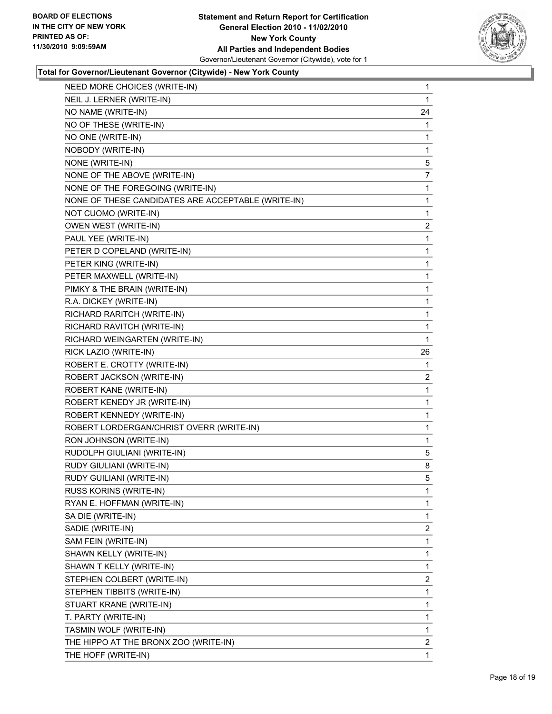

| NEED MORE CHOICES (WRITE-IN)                       | 1              |
|----------------------------------------------------|----------------|
| NEIL J. LERNER (WRITE-IN)                          | 1              |
| NO NAME (WRITE-IN)                                 | 24             |
| NO OF THESE (WRITE-IN)                             | 1              |
| NO ONE (WRITE-IN)                                  | 1              |
| NOBODY (WRITE-IN)                                  | 1              |
| NONE (WRITE-IN)                                    | 5              |
| NONE OF THE ABOVE (WRITE-IN)                       | $\overline{7}$ |
| NONE OF THE FOREGOING (WRITE-IN)                   | 1              |
| NONE OF THESE CANDIDATES ARE ACCEPTABLE (WRITE-IN) | 1              |
| NOT CUOMO (WRITE-IN)                               | 1              |
| OWEN WEST (WRITE-IN)                               | 2              |
| PAUL YEE (WRITE-IN)                                | 1              |
| PETER D COPELAND (WRITE-IN)                        | 1              |
| PETER KING (WRITE-IN)                              | 1              |
| PETER MAXWELL (WRITE-IN)                           | 1              |
| PIMKY & THE BRAIN (WRITE-IN)                       | 1              |
| R.A. DICKEY (WRITE-IN)                             | 1              |
| RICHARD RARITCH (WRITE-IN)                         | 1              |
| RICHARD RAVITCH (WRITE-IN)                         | 1              |
| RICHARD WEINGARTEN (WRITE-IN)                      | 1              |
| RICK LAZIO (WRITE-IN)                              | 26             |
| ROBERT E. CROTTY (WRITE-IN)                        | 1              |
| ROBERT JACKSON (WRITE-IN)                          | 2              |
| ROBERT KANE (WRITE-IN)                             | 1              |
| ROBERT KENEDY JR (WRITE-IN)                        | 1              |
| ROBERT KENNEDY (WRITE-IN)                          | 1              |
| ROBERT LORDERGAN/CHRIST OVERR (WRITE-IN)           | 1              |
| RON JOHNSON (WRITE-IN)                             | 1              |
| RUDOLPH GIULIANI (WRITE-IN)                        | 5              |
| RUDY GIULIANI (WRITE-IN)                           | 8              |
| RUDY GUILIANI (WRITE-IN)                           | 5              |
| RUSS KORINS (WRITE-IN)                             | 1              |
| RYAN E. HOFFMAN (WRITE-IN)                         | 1              |
| SA DIE (WRITE-IN)                                  | 1              |
| SADIE (WRITE-IN)                                   | $\overline{2}$ |
| SAM FEIN (WRITE-IN)                                | 1              |
| SHAWN KELLY (WRITE-IN)                             | 1              |
| SHAWN T KELLY (WRITE-IN)                           | 1              |
| STEPHEN COLBERT (WRITE-IN)                         | 2              |
| STEPHEN TIBBITS (WRITE-IN)                         | 1              |
| STUART KRANE (WRITE-IN)                            | 1              |
| T. PARTY (WRITE-IN)                                | 1              |
| TASMIN WOLF (WRITE-IN)                             | 1              |
| THE HIPPO AT THE BRONX ZOO (WRITE-IN)              | 2              |
| THE HOFF (WRITE-IN)                                | 1              |
|                                                    |                |